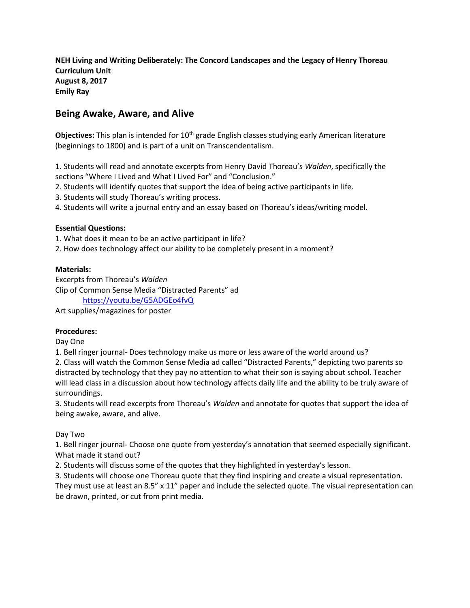**NEH Living and Writing Deliberately: The Concord Landscapes and the Legacy of Henry Thoreau Curriculum Unit August 8, 2017 Emily Ray**

# **Being Awake, Aware, and Alive**

Objectives: This plan is intended for 10<sup>th</sup> grade English classes studying early American literature (beginnings to 1800) and is part of a unit on Transcendentalism.

1. Students will read and annotate excerpts from Henry David Thoreau's *Walden*, specifically the sections "Where I Lived and What I Lived For" and "Conclusion."

2. Students will identify quotes that support the idea of being active participants in life.

3. Students will study Thoreau's writing process.

4. Students will write a journal entry and an essay based on Thoreau's ideas/writing model.

#### **Essential Questions:**

1. What does it mean to be an active participant in life?

2. How does technology affect our ability to be completely present in a moment?

#### **Materials:**

Excerpts from Thoreau's *Walden* Clip of Common Sense Media "Distracted Parents" ad <https://youtu.be/G5ADGEo4fvQ>

Art supplies/magazines for poster

# **Procedures:**

Day One

1. Bell ringer journal- Does technology make us more or less aware of the world around us?

2. Class will watch the Common Sense Media ad called "Distracted Parents," depicting two parents so distracted by technology that they pay no attention to what their son is saying about school. Teacher will lead class in a discussion about how technology affects daily life and the ability to be truly aware of surroundings.

3. Students will read excerpts from Thoreau's *Walden* and annotate for quotes that support the idea of being awake, aware, and alive.

Day Two

1. Bell ringer journal- Choose one quote from yesterday's annotation that seemed especially significant. What made it stand out?

2. Students will discuss some of the quotes that they highlighted in yesterday's lesson.

3. Students will choose one Thoreau quote that they find inspiring and create a visual representation.

They must use at least an 8.5" x 11" paper and include the selected quote. The visual representation can be drawn, printed, or cut from print media.